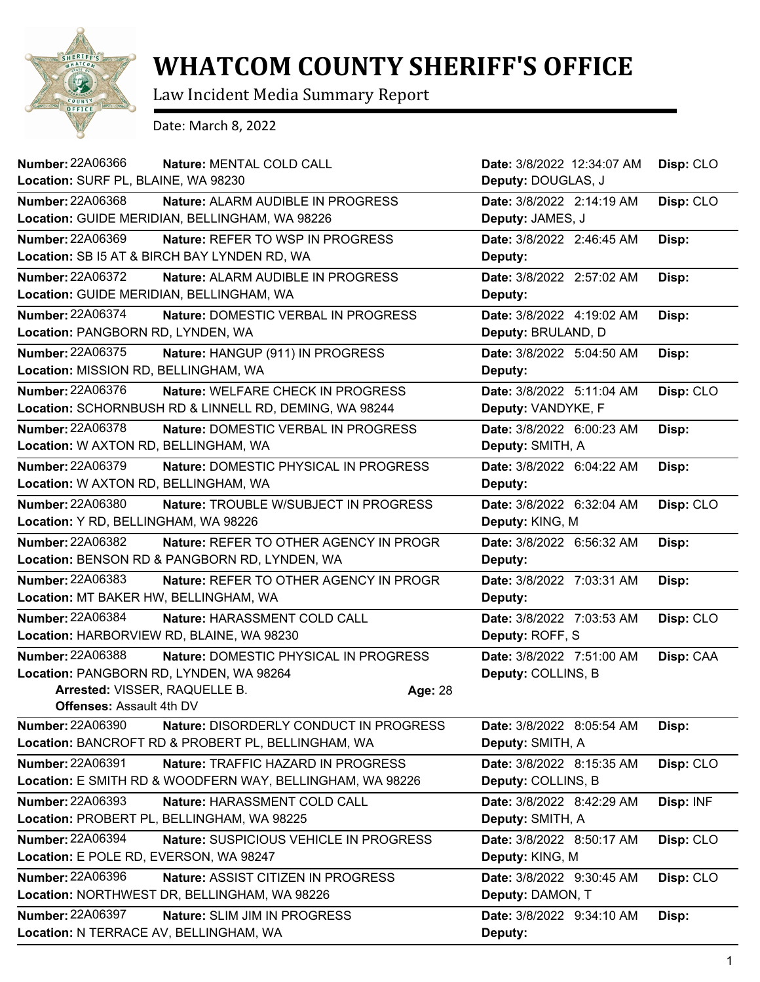

## **WHATCOM COUNTY SHERIFF'S OFFICE**

Law Incident Media Summary Report

Date: March 8, 2022

| Number: 22A06366                          | Nature: MENTAL COLD CALL                                  |         | Date: 3/8/2022 12:34:07 AM | Disp: CLO |
|-------------------------------------------|-----------------------------------------------------------|---------|----------------------------|-----------|
| Location: SURF PL, BLAINE, WA 98230       |                                                           |         | Deputy: DOUGLAS, J         |           |
| <b>Number: 22A06368</b>                   | Nature: ALARM AUDIBLE IN PROGRESS                         |         | Date: 3/8/2022 2:14:19 AM  | Disp: CLO |
|                                           | Location: GUIDE MERIDIAN, BELLINGHAM, WA 98226            |         | Deputy: JAMES, J           |           |
| Number: 22A06369                          | Nature: REFER TO WSP IN PROGRESS                          |         | Date: 3/8/2022 2:46:45 AM  | Disp:     |
|                                           | Location: SB I5 AT & BIRCH BAY LYNDEN RD, WA              |         | Deputy:                    |           |
| <b>Number: 22A06372</b>                   | Nature: ALARM AUDIBLE IN PROGRESS                         |         | Date: 3/8/2022 2:57:02 AM  | Disp:     |
| Location: GUIDE MERIDIAN, BELLINGHAM, WA  |                                                           |         | Deputy:                    |           |
| Number: 22A06374                          | Nature: DOMESTIC VERBAL IN PROGRESS                       |         | Date: 3/8/2022 4:19:02 AM  | Disp:     |
| Location: PANGBORN RD, LYNDEN, WA         |                                                           |         | Deputy: BRULAND, D         |           |
| Number: 22A06375                          | Nature: HANGUP (911) IN PROGRESS                          |         | Date: 3/8/2022 5:04:50 AM  | Disp:     |
| Location: MISSION RD, BELLINGHAM, WA      |                                                           |         | Deputy:                    |           |
| Number: 22A06376                          | Nature: WELFARE CHECK IN PROGRESS                         |         | Date: 3/8/2022 5:11:04 AM  | Disp: CLO |
|                                           | Location: SCHORNBUSH RD & LINNELL RD, DEMING, WA 98244    |         | Deputy: VANDYKE, F         |           |
| Number: 22A06378                          | Nature: DOMESTIC VERBAL IN PROGRESS                       |         | Date: 3/8/2022 6:00:23 AM  | Disp:     |
| Location: W AXTON RD, BELLINGHAM, WA      |                                                           |         | Deputy: SMITH, A           |           |
| Number: 22A06379                          | Nature: DOMESTIC PHYSICAL IN PROGRESS                     |         | Date: 3/8/2022 6:04:22 AM  | Disp:     |
| Location: W AXTON RD, BELLINGHAM, WA      |                                                           |         | Deputy:                    |           |
| <b>Number: 22A06380</b>                   | Nature: TROUBLE W/SUBJECT IN PROGRESS                     |         | Date: 3/8/2022 6:32:04 AM  | Disp: CLO |
| Location: Y RD, BELLINGHAM, WA 98226      |                                                           |         | Deputy: KING, M            |           |
| Number: 22A06382                          | Nature: REFER TO OTHER AGENCY IN PROGR                    |         | Date: 3/8/2022 6:56:32 AM  | Disp:     |
|                                           | Location: BENSON RD & PANGBORN RD, LYNDEN, WA             |         | Deputy:                    |           |
| <b>Number: 22A06383</b>                   | Nature: REFER TO OTHER AGENCY IN PROGR                    |         | Date: 3/8/2022 7:03:31 AM  | Disp:     |
| Location: MT BAKER HW, BELLINGHAM, WA     |                                                           |         | Deputy:                    |           |
| <b>Number: 22A06384</b>                   | Nature: HARASSMENT COLD CALL                              |         | Date: 3/8/2022 7:03:53 AM  | Disp: CLO |
| Location: HARBORVIEW RD, BLAINE, WA 98230 |                                                           |         | Deputy: ROFF, S            |           |
| Number: 22A06388                          | Nature: DOMESTIC PHYSICAL IN PROGRESS                     |         | Date: 3/8/2022 7:51:00 AM  | Disp: CAA |
| Location: PANGBORN RD, LYNDEN, WA 98264   |                                                           |         | Deputy: COLLINS, B         |           |
| Arrested: VISSER, RAQUELLE B.             |                                                           | Age: 28 |                            |           |
| <b>Offenses: Assault 4th DV</b>           |                                                           |         |                            |           |
| Number: 22A06390                          | Nature: DISORDERLY CONDUCT IN PROGRESS                    |         | Date: 3/8/2022 8:05:54 AM  | Disp:     |
|                                           | Location: BANCROFT RD & PROBERT PL, BELLINGHAM, WA        |         | Deputy: SMITH, A           |           |
| <b>Number: 22A06391</b>                   | Nature: TRAFFIC HAZARD IN PROGRESS                        |         | Date: 3/8/2022 8:15:35 AM  | Disp: CLO |
|                                           | Location: E SMITH RD & WOODFERN WAY, BELLINGHAM, WA 98226 |         | Deputy: COLLINS, B         |           |
| Number: 22A06393                          | Nature: HARASSMENT COLD CALL                              |         | Date: 3/8/2022 8:42:29 AM  | Disp: INF |
|                                           | Location: PROBERT PL, BELLINGHAM, WA 98225                |         | Deputy: SMITH, A           |           |
| Number: 22A06394                          | Nature: SUSPICIOUS VEHICLE IN PROGRESS                    |         | Date: 3/8/2022 8:50:17 AM  | Disp: CLO |
| Location: E POLE RD, EVERSON, WA 98247    |                                                           |         | Deputy: KING, M            |           |
| Number: 22A06396                          | Nature: ASSIST CITIZEN IN PROGRESS                        |         | Date: 3/8/2022 9:30:45 AM  | Disp: CLO |
|                                           | Location: NORTHWEST DR, BELLINGHAM, WA 98226              |         | Deputy: DAMON, T           |           |
| Number: 22A06397                          | Nature: SLIM JIM IN PROGRESS                              |         | Date: 3/8/2022 9:34:10 AM  | Disp:     |
| Location: N TERRACE AV, BELLINGHAM, WA    |                                                           |         | Deputy:                    |           |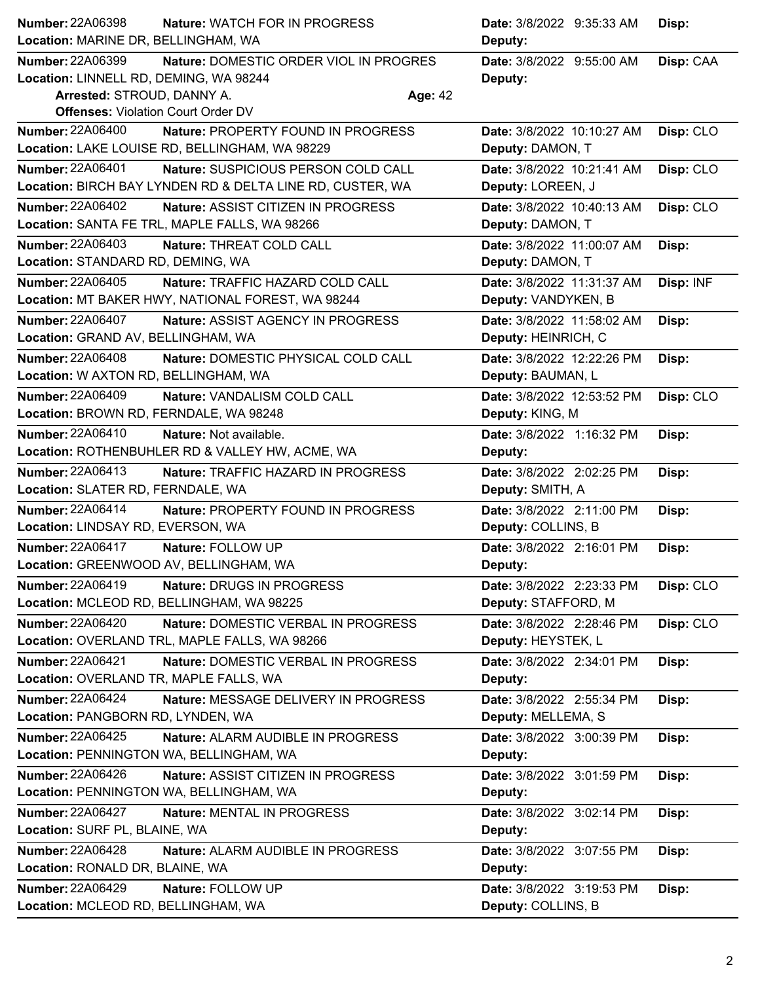| <b>Number: 22A06398</b>                   | Nature: WATCH FOR IN PROGRESS                                                        |                | Date: 3/8/2022 9:35:33 AM                      | Disp: |           |
|-------------------------------------------|--------------------------------------------------------------------------------------|----------------|------------------------------------------------|-------|-----------|
| Location: MARINE DR, BELLINGHAM, WA       |                                                                                      |                | Deputy:                                        |       |           |
| <b>Number: 22A06399</b>                   | Nature: DOMESTIC ORDER VIOL IN PROGRES                                               |                | Date: 3/8/2022 9:55:00 AM                      |       | Disp: CAA |
| Location: LINNELL RD, DEMING, WA 98244    |                                                                                      |                | Deputy:                                        |       |           |
| Arrested: STROUD, DANNY A.                |                                                                                      | <b>Age: 42</b> |                                                |       |           |
| <b>Offenses: Violation Court Order DV</b> |                                                                                      |                |                                                |       |           |
| <b>Number: 22A06400</b>                   | Nature: PROPERTY FOUND IN PROGRESS<br>Location: LAKE LOUISE RD, BELLINGHAM, WA 98229 |                | Date: 3/8/2022 10:10:27 AM<br>Deputy: DAMON, T |       | Disp: CLO |
| <b>Number: 22A06401</b>                   | Nature: SUSPICIOUS PERSON COLD CALL                                                  |                | Date: 3/8/2022 10:21:41 AM                     |       |           |
|                                           | Location: BIRCH BAY LYNDEN RD & DELTA LINE RD, CUSTER, WA                            |                | Deputy: LOREEN, J                              |       | Disp: CLO |
| Number: 22A06402                          | <b>Nature: ASSIST CITIZEN IN PROGRESS</b>                                            |                | Date: 3/8/2022 10:40:13 AM                     |       | Disp: CLO |
|                                           | Location: SANTA FE TRL, MAPLE FALLS, WA 98266                                        |                | Deputy: DAMON, T                               |       |           |
| <b>Number: 22A06403</b>                   | Nature: THREAT COLD CALL                                                             |                | Date: 3/8/2022 11:00:07 AM                     | Disp: |           |
| Location: STANDARD RD, DEMING, WA         |                                                                                      |                | Deputy: DAMON, T                               |       |           |
| <b>Number: 22A06405</b>                   | Nature: TRAFFIC HAZARD COLD CALL                                                     |                | Date: 3/8/2022 11:31:37 AM                     |       | Disp: INF |
|                                           | Location: MT BAKER HWY, NATIONAL FOREST, WA 98244                                    |                | Deputy: VANDYKEN, B                            |       |           |
| <b>Number: 22A06407</b>                   | <b>Nature: ASSIST AGENCY IN PROGRESS</b>                                             |                | Date: 3/8/2022 11:58:02 AM                     | Disp: |           |
| Location: GRAND AV, BELLINGHAM, WA        |                                                                                      |                | Deputy: HEINRICH, C                            |       |           |
| <b>Number: 22A06408</b>                   | Nature: DOMESTIC PHYSICAL COLD CALL                                                  |                | Date: 3/8/2022 12:22:26 PM                     | Disp: |           |
| Location: W AXTON RD, BELLINGHAM, WA      |                                                                                      |                | Deputy: BAUMAN, L                              |       |           |
| Number: 22A06409                          | Nature: VANDALISM COLD CALL                                                          |                | Date: 3/8/2022 12:53:52 PM                     |       | Disp: CLO |
| Location: BROWN RD, FERNDALE, WA 98248    |                                                                                      |                | Deputy: KING, M                                |       |           |
| <b>Number: 22A06410</b>                   | Nature: Not available.                                                               |                | Date: 3/8/2022 1:16:32 PM                      | Disp: |           |
|                                           | Location: ROTHENBUHLER RD & VALLEY HW, ACME, WA                                      |                | Deputy:                                        |       |           |
| <b>Number: 22A06413</b>                   | Nature: TRAFFIC HAZARD IN PROGRESS                                                   |                | Date: 3/8/2022 2:02:25 PM                      | Disp: |           |
| Location: SLATER RD, FERNDALE, WA         |                                                                                      |                | Deputy: SMITH, A                               |       |           |
| Number: 22A06414                          | Nature: PROPERTY FOUND IN PROGRESS                                                   |                | Date: 3/8/2022 2:11:00 PM                      | Disp: |           |
| Location: LINDSAY RD, EVERSON, WA         |                                                                                      |                | Deputy: COLLINS, B                             |       |           |
| Number: 22A06417                          | Nature: FOLLOW UP                                                                    |                | Date: 3/8/2022 2:16:01 PM                      | Disp: |           |
| Location: GREENWOOD AV, BELLINGHAM, WA    |                                                                                      |                | Deputy:                                        |       |           |
| Number: 22A06419                          | Nature: DRUGS IN PROGRESS                                                            |                | Date: 3/8/2022 2:23:33 PM                      |       | Disp: CLO |
|                                           | Location: MCLEOD RD, BELLINGHAM, WA 98225                                            |                | Deputy: STAFFORD, M                            |       |           |
| Number: 22A06420                          | Nature: DOMESTIC VERBAL IN PROGRESS                                                  |                | Date: 3/8/2022 2:28:46 PM                      |       | Disp: CLO |
|                                           | Location: OVERLAND TRL, MAPLE FALLS, WA 98266                                        |                | Deputy: HEYSTEK, L                             |       |           |
| Number: 22A06421                          | <b>Nature: DOMESTIC VERBAL IN PROGRESS</b>                                           |                | Date: 3/8/2022 2:34:01 PM                      | Disp: |           |
| Location: OVERLAND TR, MAPLE FALLS, WA    |                                                                                      |                | Deputy:                                        |       |           |
| <b>Number: 22A06424</b>                   | Nature: MESSAGE DELIVERY IN PROGRESS                                                 |                | Date: 3/8/2022 2:55:34 PM                      | Disp: |           |
| Location: PANGBORN RD, LYNDEN, WA         |                                                                                      |                | Deputy: MELLEMA, S                             |       |           |
| Number: 22A06425                          | Nature: ALARM AUDIBLE IN PROGRESS                                                    |                | Date: 3/8/2022 3:00:39 PM                      | Disp: |           |
| Location: PENNINGTON WA, BELLINGHAM, WA   |                                                                                      |                | Deputy:                                        |       |           |
| <b>Number: 22A06426</b>                   | Nature: ASSIST CITIZEN IN PROGRESS                                                   |                | Date: 3/8/2022 3:01:59 PM                      | Disp: |           |
| Location: PENNINGTON WA, BELLINGHAM, WA   |                                                                                      |                | Deputy:                                        |       |           |
| Number: 22A06427                          | Nature: MENTAL IN PROGRESS                                                           |                | Date: 3/8/2022 3:02:14 PM                      | Disp: |           |
| Location: SURF PL, BLAINE, WA             |                                                                                      |                | Deputy:                                        |       |           |
| Number: 22A06428                          | Nature: ALARM AUDIBLE IN PROGRESS                                                    |                | Date: 3/8/2022 3:07:55 PM                      | Disp: |           |
| Location: RONALD DR, BLAINE, WA           |                                                                                      |                | Deputy:                                        |       |           |
| Number: 22A06429                          | Nature: FOLLOW UP                                                                    |                | Date: 3/8/2022 3:19:53 PM                      | Disp: |           |
| Location: MCLEOD RD, BELLINGHAM, WA       |                                                                                      |                | Deputy: COLLINS, B                             |       |           |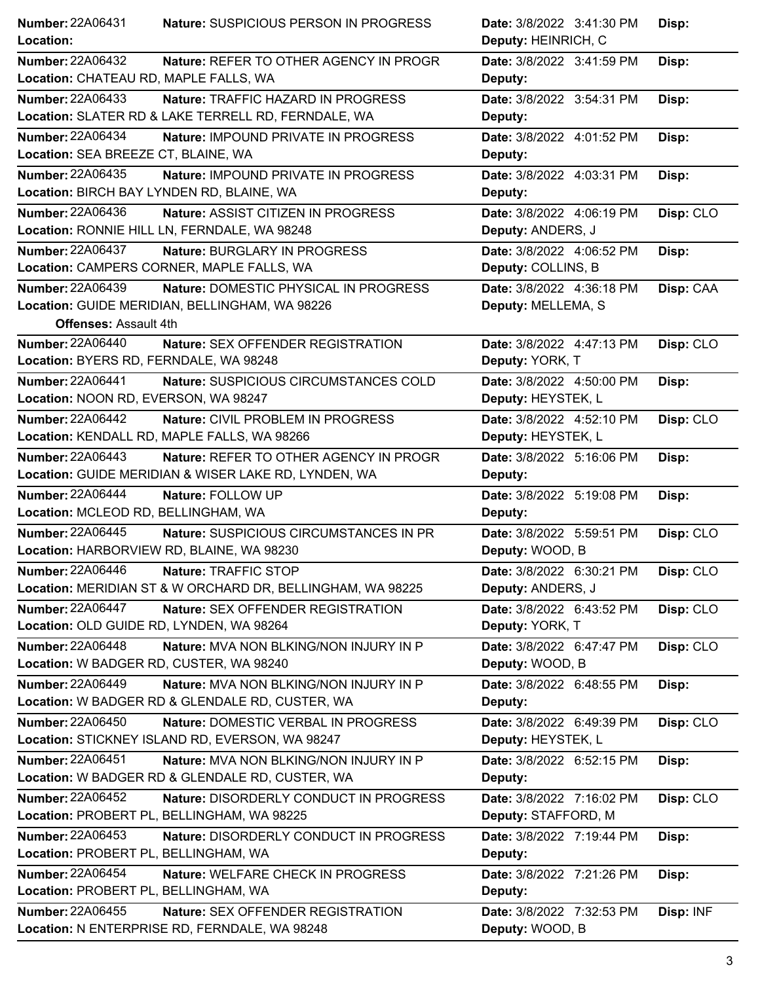| Number: 22A06431                          | Nature: SUSPICIOUS PERSON IN PROGRESS                      | Date: 3/8/2022 3:41:30 PM | Disp:     |
|-------------------------------------------|------------------------------------------------------------|---------------------------|-----------|
| Location:                                 |                                                            | Deputy: HEINRICH, C       |           |
| <b>Number: 22A06432</b>                   | Nature: REFER TO OTHER AGENCY IN PROGR                     | Date: 3/8/2022 3:41:59 PM | Disp:     |
| Location: CHATEAU RD, MAPLE FALLS, WA     |                                                            | Deputy:                   |           |
| <b>Number: 22A06433</b>                   | Nature: TRAFFIC HAZARD IN PROGRESS                         | Date: 3/8/2022 3:54:31 PM | Disp:     |
|                                           | Location: SLATER RD & LAKE TERRELL RD, FERNDALE, WA        | Deputy:                   |           |
| <b>Number: 22A06434</b>                   | Nature: IMPOUND PRIVATE IN PROGRESS                        | Date: 3/8/2022 4:01:52 PM | Disp:     |
| Location: SEA BREEZE CT, BLAINE, WA       |                                                            | Deputy:                   |           |
| <b>Number: 22A06435</b>                   | Nature: IMPOUND PRIVATE IN PROGRESS                        | Date: 3/8/2022 4:03:31 PM | Disp:     |
| Location: BIRCH BAY LYNDEN RD, BLAINE, WA |                                                            | Deputy:                   |           |
| Number: 22A06436                          | Nature: ASSIST CITIZEN IN PROGRESS                         | Date: 3/8/2022 4:06:19 PM | Disp: CLO |
|                                           | Location: RONNIE HILL LN, FERNDALE, WA 98248               | Deputy: ANDERS, J         |           |
| <b>Number: 22A06437</b>                   | Nature: BURGLARY IN PROGRESS                               | Date: 3/8/2022 4:06:52 PM | Disp:     |
|                                           | Location: CAMPERS CORNER, MAPLE FALLS, WA                  | Deputy: COLLINS, B        |           |
| <b>Number: 22A06439</b>                   | Nature: DOMESTIC PHYSICAL IN PROGRESS                      | Date: 3/8/2022 4:36:18 PM | Disp: CAA |
|                                           | Location: GUIDE MERIDIAN, BELLINGHAM, WA 98226             | Deputy: MELLEMA, S        |           |
| <b>Offenses: Assault 4th</b>              |                                                            |                           |           |
| <b>Number: 22A06440</b>                   | Nature: SEX OFFENDER REGISTRATION                          | Date: 3/8/2022 4:47:13 PM | Disp: CLO |
| Location: BYERS RD, FERNDALE, WA 98248    |                                                            | Deputy: YORK, T           |           |
| Number: 22A06441                          | Nature: SUSPICIOUS CIRCUMSTANCES COLD                      | Date: 3/8/2022 4:50:00 PM | Disp:     |
| Location: NOON RD, EVERSON, WA 98247      |                                                            | Deputy: HEYSTEK, L        |           |
| <b>Number: 22A06442</b>                   | Nature: CIVIL PROBLEM IN PROGRESS                          | Date: 3/8/2022 4:52:10 PM | Disp: CLO |
|                                           | Location: KENDALL RD, MAPLE FALLS, WA 98266                | Deputy: HEYSTEK, L        |           |
| Number: 22A06443                          | Nature: REFER TO OTHER AGENCY IN PROGR                     | Date: 3/8/2022 5:16:06 PM | Disp:     |
|                                           | Location: GUIDE MERIDIAN & WISER LAKE RD, LYNDEN, WA       | Deputy:                   |           |
| <b>Number: 22A06444</b>                   | Nature: FOLLOW UP                                          | Date: 3/8/2022 5:19:08 PM | Disp:     |
| Location: MCLEOD RD, BELLINGHAM, WA       |                                                            | Deputy:                   |           |
| Number: 22A06445                          | Nature: SUSPICIOUS CIRCUMSTANCES IN PR                     | Date: 3/8/2022 5:59:51 PM | Disp: CLO |
| Location: HARBORVIEW RD, BLAINE, WA 98230 |                                                            | Deputy: WOOD, B           |           |
| <b>Number: 22A06446</b>                   | Nature: TRAFFIC STOP                                       | Date: 3/8/2022 6:30:21 PM | Disp: CLO |
|                                           | Location: MERIDIAN ST & W ORCHARD DR, BELLINGHAM, WA 98225 | Deputy: ANDERS, J         |           |
| <b>Number: 22A06447</b>                   | Nature: SEX OFFENDER REGISTRATION                          | Date: 3/8/2022 6:43:52 PM | Disp: CLO |
| Location: OLD GUIDE RD, LYNDEN, WA 98264  |                                                            | Deputy: YORK, T           |           |
| <b>Number: 22A06448</b>                   | Nature: MVA NON BLKING/NON INJURY IN P                     | Date: 3/8/2022 6:47:47 PM | Disp: CLO |
| Location: W BADGER RD, CUSTER, WA 98240   |                                                            | Deputy: WOOD, B           |           |
| <b>Number: 22A06449</b>                   | Nature: MVA NON BLKING/NON INJURY IN P                     | Date: 3/8/2022 6:48:55 PM | Disp:     |
|                                           | Location: W BADGER RD & GLENDALE RD, CUSTER, WA            | Deputy:                   |           |
| <b>Number: 22A06450</b>                   | Nature: DOMESTIC VERBAL IN PROGRESS                        | Date: 3/8/2022 6:49:39 PM | Disp: CLO |
|                                           | Location: STICKNEY ISLAND RD, EVERSON, WA 98247            | Deputy: HEYSTEK, L        |           |
| Number: 22A06451                          | Nature: MVA NON BLKING/NON INJURY IN P                     | Date: 3/8/2022 6:52:15 PM | Disp:     |
|                                           | Location: W BADGER RD & GLENDALE RD, CUSTER, WA            | Deputy:                   |           |
| <b>Number: 22A06452</b>                   | Nature: DISORDERLY CONDUCT IN PROGRESS                     | Date: 3/8/2022 7:16:02 PM | Disp: CLO |
|                                           | Location: PROBERT PL, BELLINGHAM, WA 98225                 | Deputy: STAFFORD, M       |           |
| Number: 22A06453                          | Nature: DISORDERLY CONDUCT IN PROGRESS                     | Date: 3/8/2022 7:19:44 PM | Disp:     |
| Location: PROBERT PL, BELLINGHAM, WA      |                                                            | Deputy:                   |           |
| Number: 22A06454                          | Nature: WELFARE CHECK IN PROGRESS                          | Date: 3/8/2022 7:21:26 PM | Disp:     |
| Location: PROBERT PL, BELLINGHAM, WA      |                                                            | Deputy:                   |           |
| Number: 22A06455                          | Nature: SEX OFFENDER REGISTRATION                          | Date: 3/8/2022 7:32:53 PM | Disp: INF |
|                                           | Location: N ENTERPRISE RD, FERNDALE, WA 98248              | Deputy: WOOD, B           |           |
|                                           |                                                            |                           |           |